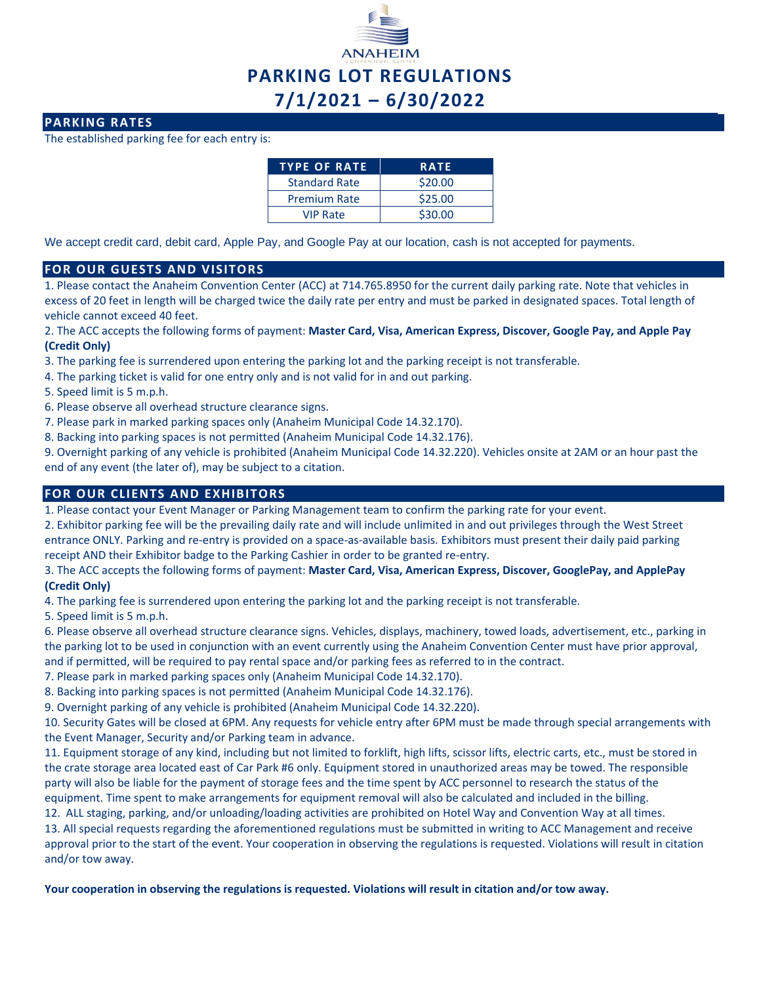

## **PARKING RATES**

The established parking fee for each entry is:

| <b>TYPE OF RATE</b>  | <b>RATE</b> |
|----------------------|-------------|
| <b>Standard Rate</b> | \$20.00     |
| <b>Premium Rate</b>  | \$25.00     |
| <b>VIP Rate</b>      | \$30.00     |

We accept credit card, debit card, Apple Pay, and Google Pay at our location, cash is not accepted for payments.

### **FOR OUR GUESTS AND VISITORS**

1. Please contact the Anaheim Convention Center (ACC) at 714.765.8950 for the current daily parking rate. Note that vehicles in excess of 20 feet in length will be charged twice the daily rate per entry and must be parked in designated spaces. Total length of vehicle cannot exceed 40 feet.

- 2. The ACC accepts the following forms of payment: **Master Card, Visa, American Express, Discover, Google Pay, and Apple Pay (Credit Only)**
- 3. The parking fee is surrendered upon entering the parking lot and the parking receipt is not transferable.
- 4. The parking ticket is valid for one entry only and is not valid for in and out parking.
- 5. Speed limit is 5 m.p.h.
- 6. Please observe all overhead structure clearance signs.
- 7. Please park in marked parking spaces only (Anaheim Municipal Code 14.32.170).
- 8. Backing into parking spaces is not permitted (Anaheim Municipal Code 14.32.176).

9. Overnight parking of any vehicle is prohibited (Anaheim Municipal Code 14.32.220). Vehicles onsite at 2AM or an hour past the end of any event (the later of), may be subject to a citation.

# **FOR OUR CLIENTS AND EXHIBITORS**

1. Please contact your Event Manager or Parking Management team to confirm the parking rate for your event.

2. Exhibitor parking fee will be the prevailing daily rate and will include unlimited in and out privileges through the West Street entrance ONLY. Parking and re-entry is provided on a space-as-available basis. Exhibitors must present their daily paid parking receipt AND their Exhibitor badge to the Parking Cashier in order to be granted re-entry.

### 3. The ACC accepts the following forms of payment: **Master Card, Visa, American Express, Discover, GooglePay, and ApplePay (Credit Only)**

4. The parking fee is surrendered upon entering the parking lot and the parking receipt is not transferable.

5. Speed limit is 5 m.p.h.

6. Please observe all overhead structure clearance signs. Vehicles, displays, machinery, towed loads, advertisement, etc., parking in the parking lot to be used in conjunction with an event currently using the Anaheim Convention Center must have prior approval, and if permitted, will be required to pay rental space and/or parking fees as referred to in the contract.

- 7. Please park in marked parking spaces only (Anaheim Municipal Code 14.32.170).
- 8. Backing into parking spaces is not permitted (Anaheim Municipal Code 14.32.176).
- 9. Overnight parking of any vehicle is prohibited (Anaheim Municipal Code 14.32.220).

10. Security Gates will be closed at 6PM. Any requests for vehicle entry after 6PM must be made through special arrangements with the Event Manager, Security and/or Parking team in advance.

11. Equipment storage of any kind, including but not limited to forklift, high lifts, scissor lifts, electric carts, etc., must be stored in the crate storage area located east of Car Park #6 only. Equipment stored in unauthorized areas may be towed. The responsible party will also be liable for the payment of storage fees and the time spent by ACC personnel to research the status of the equipment. Time spent to make arrangements for equipment removal will also be calculated and included in the billing.

12. ALL staging, parking, and/or unloading/loading activities are prohibited on Hotel Way and Convention Way at all times. 13. All special requests regarding the aforementioned regulations must be submitted in writing to ACC Management and receive

approval prior to the start of the event. Your cooperation in observing the regulations is requested. Violations will result in citation and/or tow away.

### **Your cooperation in observing the regulations is requested. Violations will result in citation and/or tow away.**